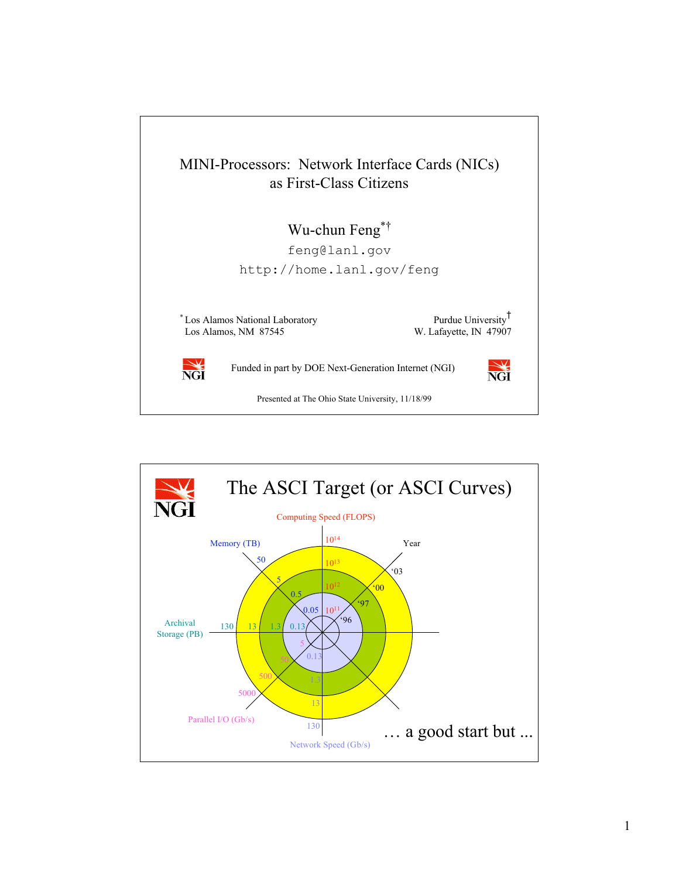

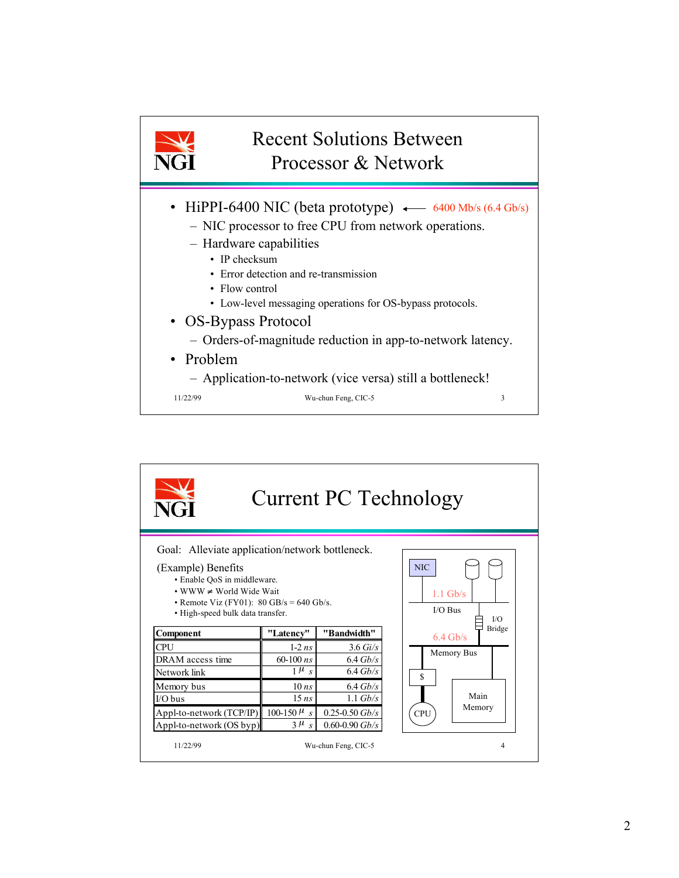

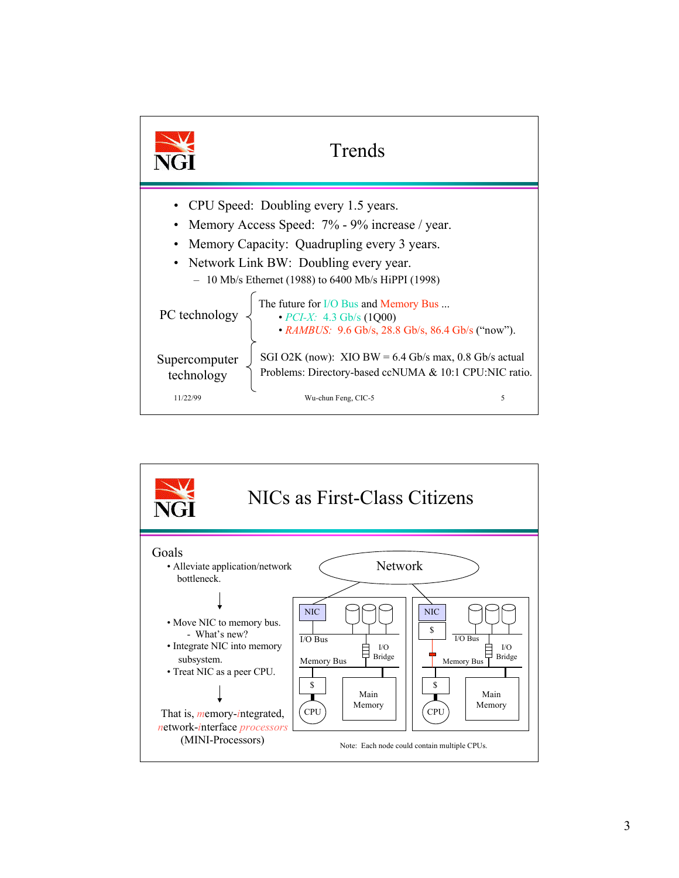

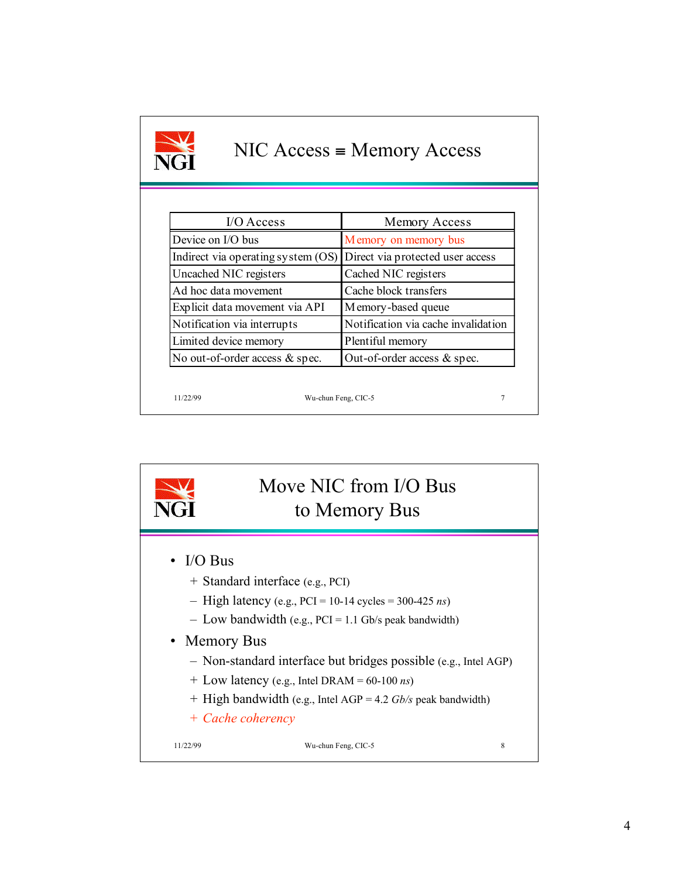| $NIC Access = Memory Access$<br><b>NGT</b> |                                     |
|--------------------------------------------|-------------------------------------|
|                                            |                                     |
| $I/O$ Access                               | Memory Access                       |
| Device on I/O bus                          | Memory on memory bus                |
| Indirect via operating system (OS)         | Direct via protected user access    |
| Uncached NIC registers                     | Cached NIC registers                |
| Ad hoc data movement                       | Cache block transfers               |
| Explicit data movement via API             | Memory-based queue                  |
| Notification via interrupts                | Notification via cache invalidation |
| Limited device memory                      | Plentiful memory                    |
| No out-of-order access & spec.             | Out-of-order access & spec.         |

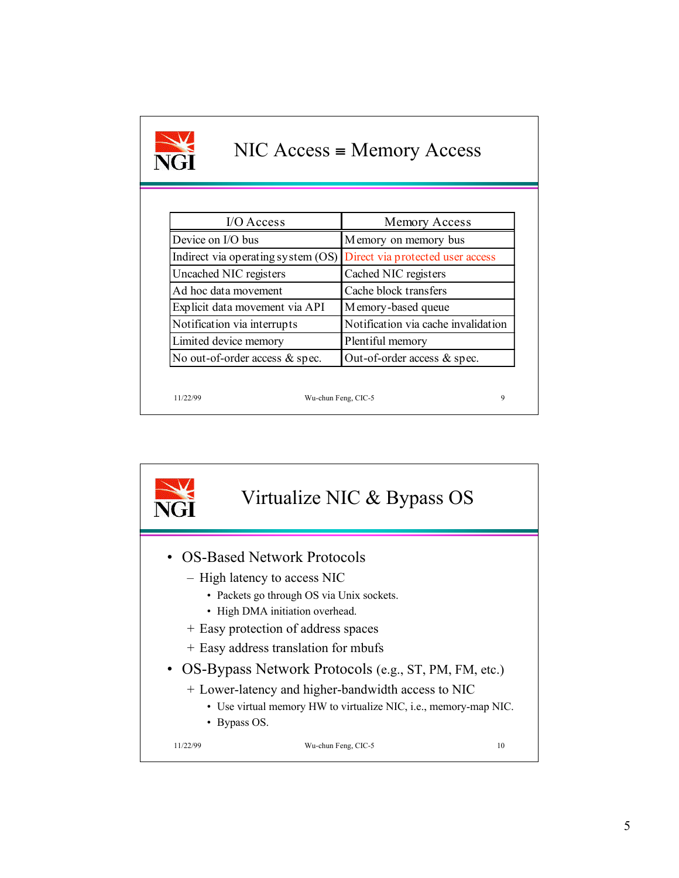| $NIC Access = Memory Access$<br>NGT |                                     |
|-------------------------------------|-------------------------------------|
|                                     |                                     |
| $I/O$ Access                        | Memory Access                       |
| Device on I/O bus                   | Memory on memory bus                |
| Indirect via operating system (OS)  | Direct via protected user access    |
| Uncached NIC registers              | Cached NIC registers                |
| Ad hoc data movement                | Cache block transfers               |
| Explicit data movement via API      | Memory-based queue                  |
| Notification via interrupts         | Notification via cache invalidation |
| Limited device memory               | Plentiful memory                    |
| No out-of-order access & spec.      | Out-of-order access $&$ spec.       |
|                                     |                                     |
| Wu-chun Feng, CIC-5<br>11/22/99     | 9                                   |

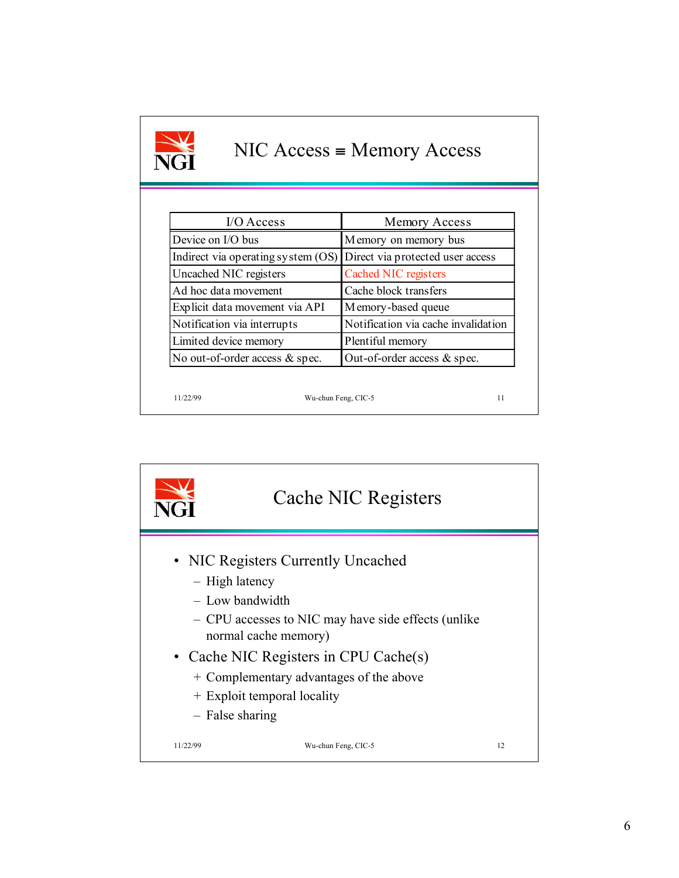| $NIC Access = Memory Access$<br>NGI |                                     |
|-------------------------------------|-------------------------------------|
|                                     |                                     |
| I/O Access                          | Memory Access                       |
| Device on I/O bus                   | Memory on memory bus                |
| Indirect via operating system (OS)  | Direct via protected user access    |
| Uncached NIC registers              | Cached NIC registers                |
| Ad hoc data movement                | Cache block transfers               |
| Explicit data movement via API      | Memory-based queue                  |
| Notification via interrupts         | Notification via cache invalidation |
| Limited device memory               | Plentiful memory                    |
| No out-of-order access $&$ spec.    | Out-of-order access $&$ spec.       |
|                                     |                                     |

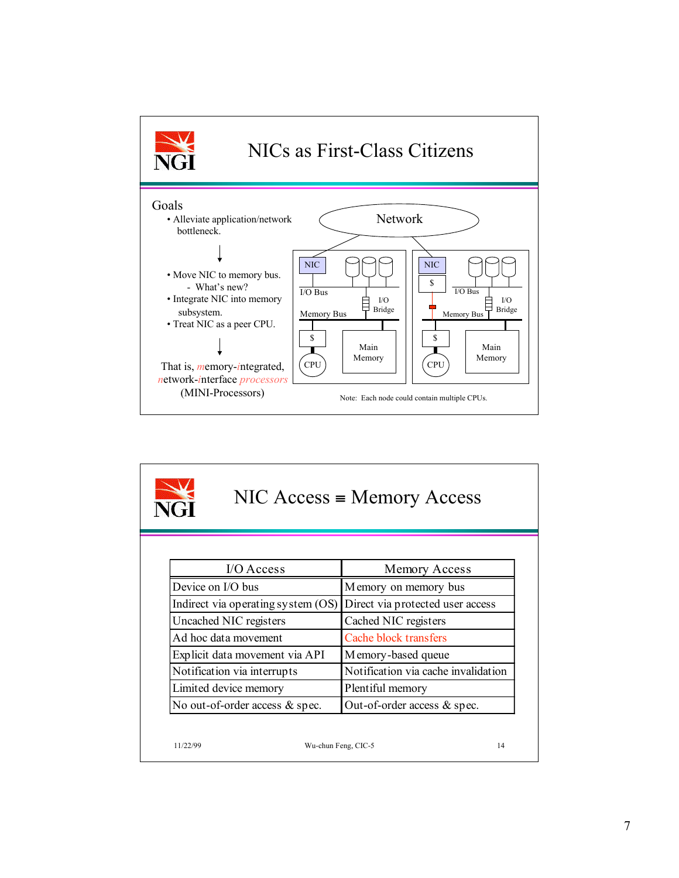

| $NIC Access = Memory Access$<br>JGT |                                    |                                     |
|-------------------------------------|------------------------------------|-------------------------------------|
|                                     | $I/O$ Access                       | Memory Access                       |
| Device on I/O bus                   |                                    | Memory on memory bus                |
|                                     | Indirect via operating system (OS) | Direct via protected user access    |
| Uncached NIC registers              |                                    | Cached NIC registers                |
| Ad hoc data movement                |                                    | Cache block transfers               |
|                                     | Explicit data movement via API     | Memory-based queue                  |
| Notification via interrupts         |                                    | Notification via cache invalidation |
| Limited device memory               |                                    | Plentiful memory                    |
|                                     | No out-of-order access & spec.     | Out-of-order access & spec.         |
| 11/22/99                            | Wu-chun Feng, CIC-5                | 14                                  |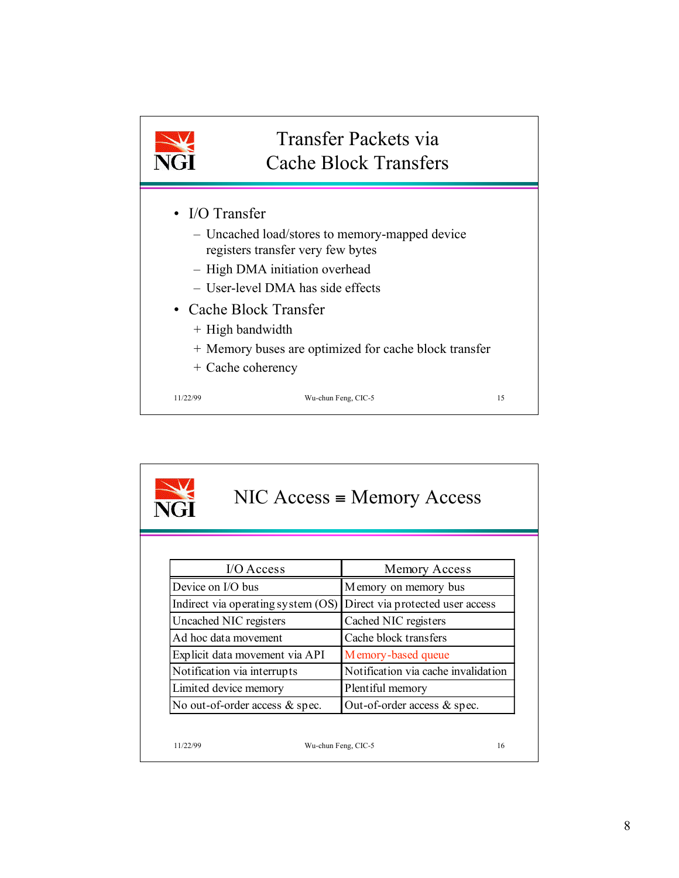

| $NIC Access = Memory Access$<br><b>NGI</b> |                                    |                                     |
|--------------------------------------------|------------------------------------|-------------------------------------|
|                                            | $IO Access$                        | Memory Access                       |
| Device on I/O bus                          |                                    | Memory on memory bus                |
|                                            | Indirect via operating system (OS) | Direct via protected user access    |
| Uncached NIC registers                     |                                    | Cached NIC registers                |
| Ad hoc data movement                       |                                    | Cache block transfers               |
|                                            | Explicit data movement via API     | Memory-based queue                  |
| Notification via interrupts                |                                    | Notification via cache invalidation |
| Limited device memory                      |                                    | Plentiful memory                    |
|                                            | No out-of-order access & spec.     | Out-of-order access & spec.         |
| 11/22/99                                   | Wu-chun Feng, CIC-5                | 16                                  |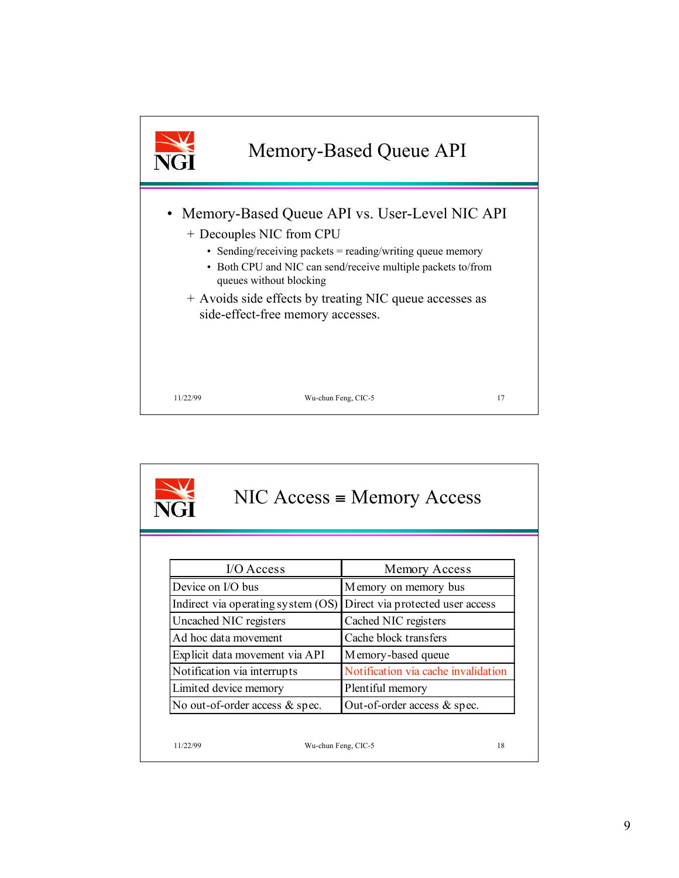

| $NIC Access = Memory Access$<br><u>तन</u> |                                     |
|-------------------------------------------|-------------------------------------|
|                                           |                                     |
| I/O Access                                | Memory Access                       |
| Device on I/O bus                         | Memory on memory bus                |
| Indirect via operating system (OS)        | Direct via protected user access    |
| Uncached NIC registers                    | Cached NIC registers                |
| Ad hoc data movement                      | Cache block transfers               |
| Explicit data movement via API            | Memory-based queue                  |
| Notification via interrupts               | Notification via cache invalidation |
| Limited device memory                     | Plentiful memory                    |
| No out-of-order access & spec.            | Out-of-order access $&$ spec.       |
|                                           |                                     |
| Wu-chun Feng, CIC-5<br>11/22/99           | 18                                  |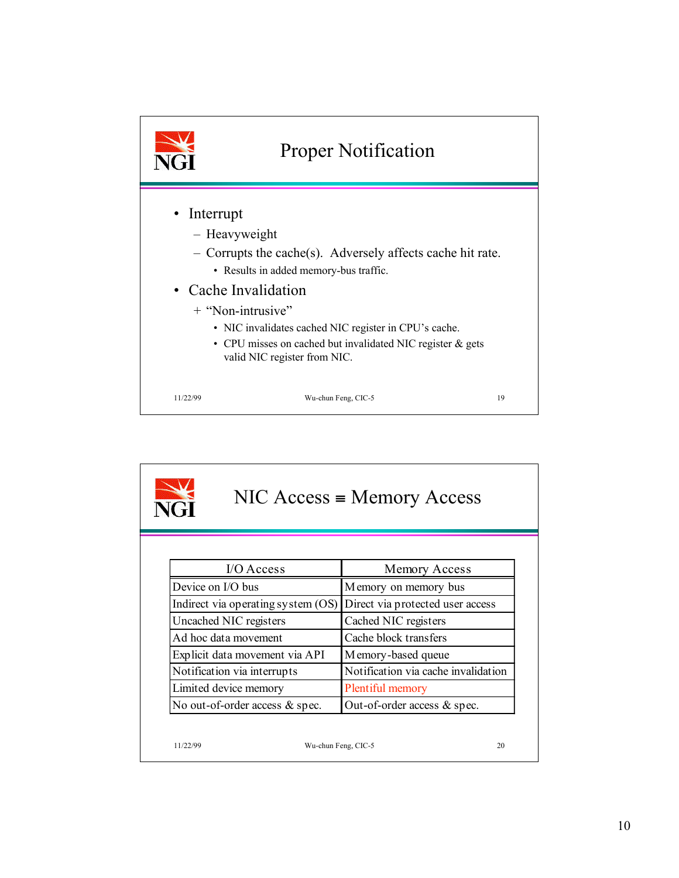

| $NIC Access = Memory Access$<br><b>NGT</b> |                                    |                                     |
|--------------------------------------------|------------------------------------|-------------------------------------|
|                                            | $I/O$ Access                       | Memory Access                       |
| Device on I/O bus                          |                                    | Memory on memory bus                |
|                                            | Indirect via operating system (OS) | Direct via protected user access    |
|                                            | Uncached NIC registers             | Cached NIC registers                |
|                                            | Ad hoc data movement               | Cache block transfers               |
|                                            | Explicit data movement via API     | Memory-based queue                  |
|                                            | Notification via interrupts        | Notification via cache invalidation |
|                                            | Limited device memory              | Plentiful memory                    |
|                                            | No out-of-order access & spec.     | Out-of-order access & spec.         |
| 11/22/99                                   | Wu-chun Feng, CIC-5                | 20                                  |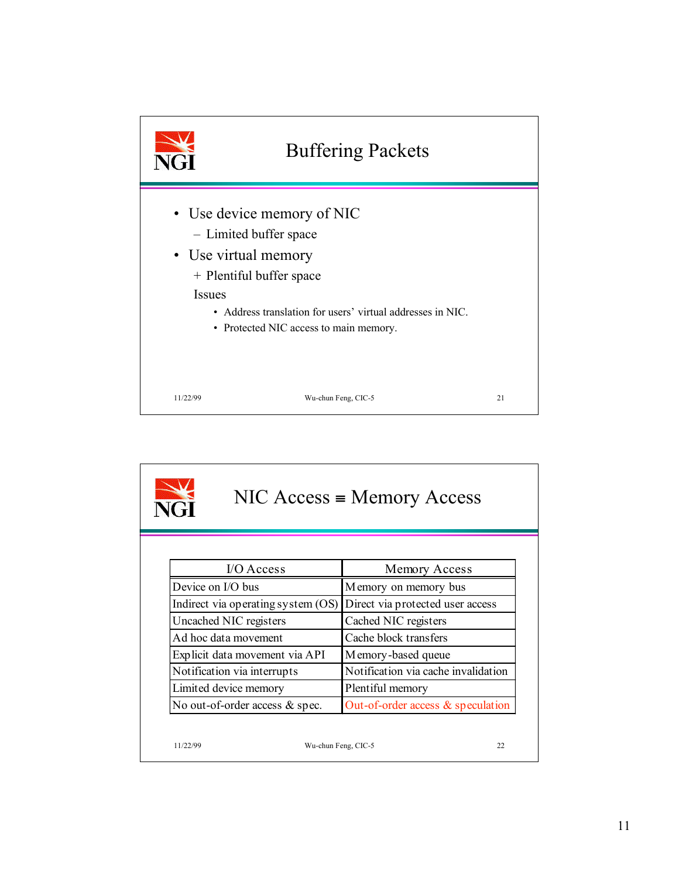

| $NIC Access = Memory Access$<br>NGT |                                      |  |
|-------------------------------------|--------------------------------------|--|
| $VO Access$                         | Memory Access                        |  |
| Device on I/O bus                   | Memory on memory bus                 |  |
| Indirect via operating system (OS)  | Direct via protected user access     |  |
| Uncached NIC registers              | Cached NIC registers                 |  |
| Ad hoc data movement                | Cache block transfers                |  |
| Explicit data movement via API      | Memory-based queue                   |  |
| Notification via interrupts         | Notification via cache invalidation  |  |
| Limited device memory               | Plentiful memory                     |  |
| No out-of-order access & spec.      | Out-of-order access $\&$ speculation |  |
| 11/22/99<br>Wu-chun Feng, CIC-5     | 22                                   |  |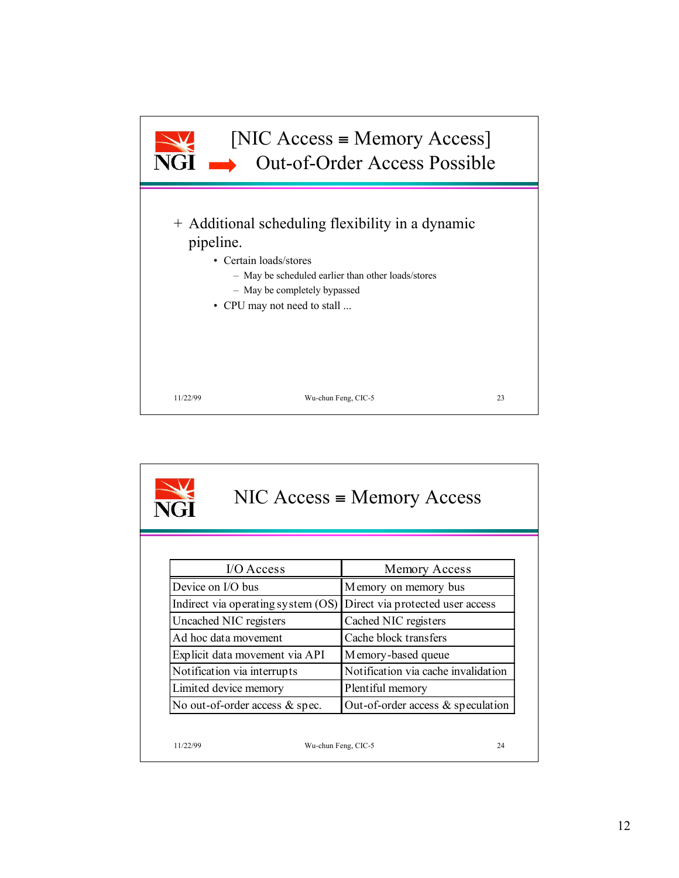

| $NIC Access = Memory Access$<br>VC-11 |                                      |  |
|---------------------------------------|--------------------------------------|--|
| $I/O$ Access                          | Memory Access                        |  |
| Device on I/O bus                     | Memory on memory bus                 |  |
| Indirect via operating system (OS)    | Direct via protected user access     |  |
| Uncached NIC registers                | Cached NIC registers                 |  |
| Ad hoc data movement                  | Cache block transfers                |  |
| Explicit data movement via API        | Memory-based queue                   |  |
| Notification via interrupts           | Notification via cache invalidation  |  |
| Limited device memory                 | Plentiful memory                     |  |
| No out-of-order access & spec.        | Out-of-order access $\&$ speculation |  |
|                                       |                                      |  |
| 11/22/99<br>Wu-chun Feng, CIC-5       | 24                                   |  |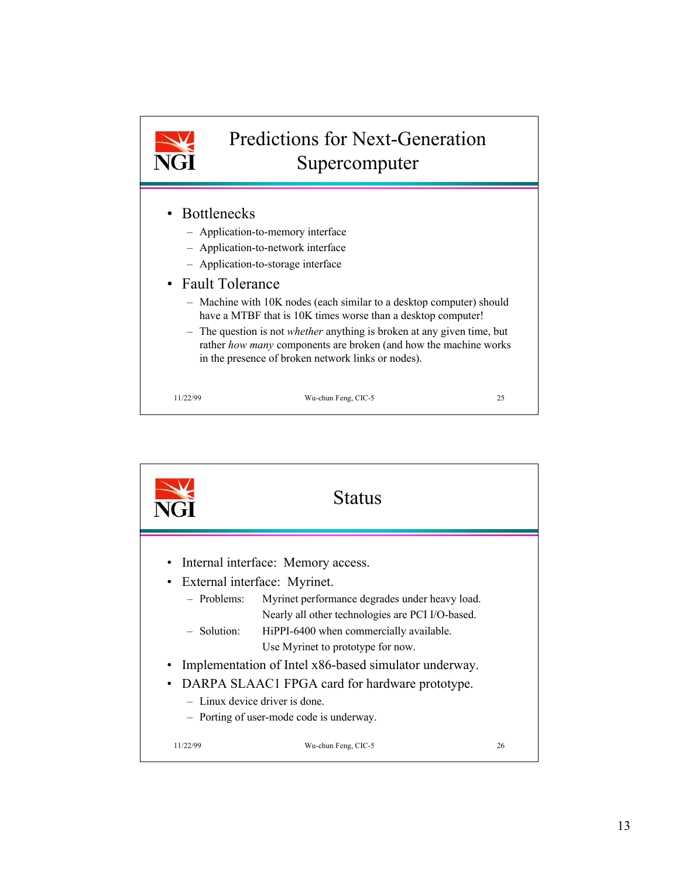